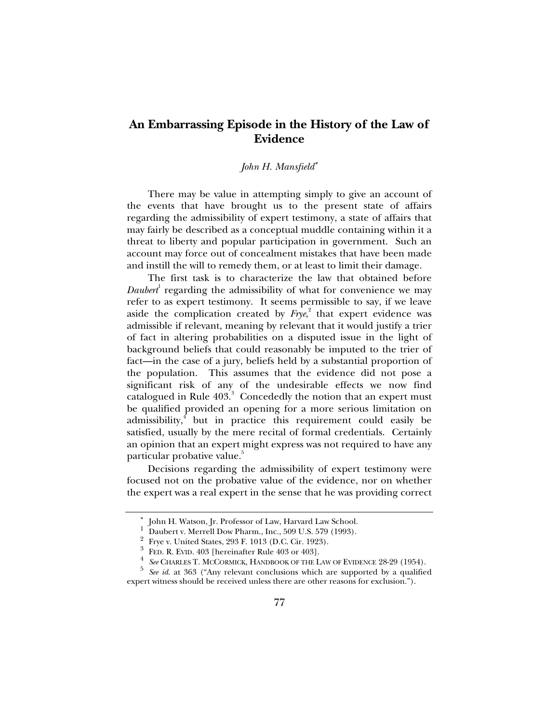## **An Embarrassing Episode in the History of the Law of Evidence**

## *John H. Mansfield*<sup>∗</sup>

There may be value in attempting simply to give an account of the events that have brought us to the present state of affairs regarding the admissibility of expert testimony, a state of affairs that may fairly be described as a conceptual muddle containing within it a threat to liberty and popular participation in government. Such an account may force out of concealment mistakes that have been made and instill the will to remedy them, or at least to limit their damage.

The first task is to characterize the law that obtained before Daubert<sup>1</sup> regarding the admissibility of what for convenience we may refer to as expert testimony. It seems permissible to say, if we leave aside the complication created by  $Frye^2$ , that expert evidence was admissible if relevant, meaning by relevant that it would justify a trier of fact in altering probabilities on a disputed issue in the light of background beliefs that could reasonably be imputed to the trier of fact—in the case of a jury, beliefs held by a substantial proportion of the population. This assumes that the evidence did not pose a significant risk of any of the undesirable effects we now find catalogued in Rule  $403.3$  Concededly the notion that an expert must be qualified provided an opening for a more serious limitation on admissibility,<sup>4</sup> but in practice this requirement could easily be satisfied, usually by the mere recital of formal credentials. Certainly an opinion that an expert might express was not required to have any particular probative value.<sup>5</sup>

Decisions regarding the admissibility of expert testimony were focused not on the probative value of the evidence, nor on whether the expert was a real expert in the sense that he was providing correct

<sup>∗</sup> John H. Watson, Jr. Professor of Law, Harvard Law School.

<sup>1</sup> Daubert v. Merrell Dow Pharm., Inc., 509 U.S. 579 (1993).

<sup>2</sup> Frye v. United States, 293 F. 1013 (D.C. Cir. 1923).

<sup>3</sup> FED. R. EVID. 403 [hereinafter Rule 403 or 403].

<sup>4</sup>  *See* CHARLES T. MCCORMICK, HANDBOOK OF THE LAW OF EVIDENCE 28-29 (1954).

<sup>&</sup>lt;sup>5</sup> See id. at 363 ("Any relevant conclusions which are supported by a qualified expert witness should be received unless there are other reasons for exclusion.").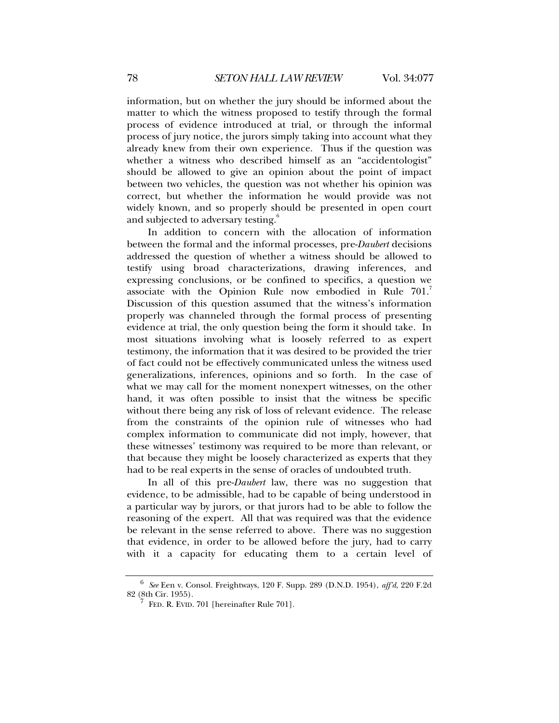information, but on whether the jury should be informed about the matter to which the witness proposed to testify through the formal process of evidence introduced at trial, or through the informal process of jury notice, the jurors simply taking into account what they already knew from their own experience. Thus if the question was whether a witness who described himself as an "accidentologist" should be allowed to give an opinion about the point of impact between two vehicles, the question was not whether his opinion was correct, but whether the information he would provide was not widely known, and so properly should be presented in open court and subjected to adversary testing.<sup>6</sup>

In addition to concern with the allocation of information between the formal and the informal processes, pre-*Daubert* decisions addressed the question of whether a witness should be allowed to testify using broad characterizations, drawing inferences, and expressing conclusions, or be confined to specifics, a question we associate with the Opinion Rule now embodied in Rule 701. Discussion of this question assumed that the witness's information properly was channeled through the formal process of presenting evidence at trial, the only question being the form it should take. In most situations involving what is loosely referred to as expert testimony, the information that it was desired to be provided the trier of fact could not be effectively communicated unless the witness used generalizations, inferences, opinions and so forth. In the case of what we may call for the moment nonexpert witnesses, on the other hand, it was often possible to insist that the witness be specific without there being any risk of loss of relevant evidence. The release from the constraints of the opinion rule of witnesses who had complex information to communicate did not imply, however, that these witnesses' testimony was required to be more than relevant, or that because they might be loosely characterized as experts that they had to be real experts in the sense of oracles of undoubted truth.

In all of this pre-*Daubert* law, there was no suggestion that evidence, to be admissible, had to be capable of being understood in a particular way by jurors, or that jurors had to be able to follow the reasoning of the expert. All that was required was that the evidence be relevant in the sense referred to above. There was no suggestion that evidence, in order to be allowed before the jury, had to carry with it a capacity for educating them to a certain level of

<sup>6</sup>  *See* Een v. Consol. Freightways, 120 F. Supp. 289 (D.N.D. 1954), *aff'd*, 220 F.2d 82 (8th Cir. 1955).

<sup>7</sup> FED. R. EVID. 701 [hereinafter Rule 701].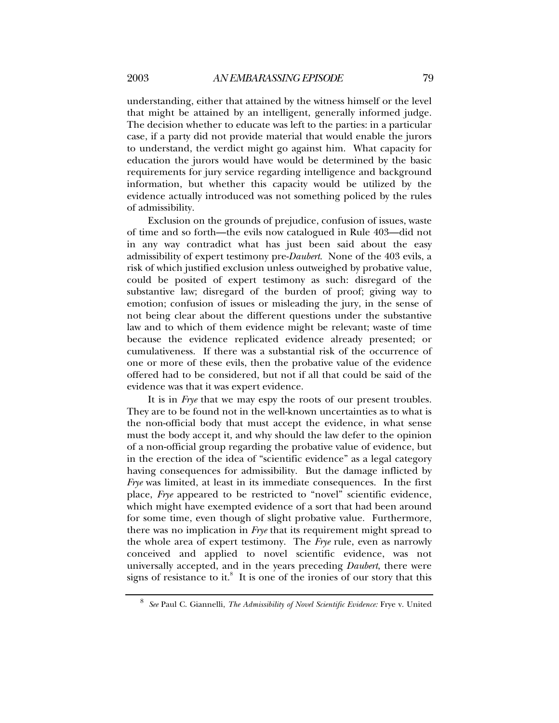understanding, either that attained by the witness himself or the level that might be attained by an intelligent, generally informed judge. The decision whether to educate was left to the parties: in a particular case, if a party did not provide material that would enable the jurors to understand, the verdict might go against him. What capacity for education the jurors would have would be determined by the basic requirements for jury service regarding intelligence and background information, but whether this capacity would be utilized by the evidence actually introduced was not something policed by the rules of admissibility.

Exclusion on the grounds of prejudice, confusion of issues, waste of time and so forth—the evils now catalogued in Rule 403—did not in any way contradict what has just been said about the easy admissibility of expert testimony pre-*Daubert*. None of the 403 evils, a risk of which justified exclusion unless outweighed by probative value, could be posited of expert testimony as such: disregard of the substantive law; disregard of the burden of proof; giving way to emotion; confusion of issues or misleading the jury, in the sense of not being clear about the different questions under the substantive law and to which of them evidence might be relevant; waste of time because the evidence replicated evidence already presented; or cumulativeness. If there was a substantial risk of the occurrence of one or more of these evils, then the probative value of the evidence offered had to be considered, but not if all that could be said of the evidence was that it was expert evidence.

It is in *Frye* that we may espy the roots of our present troubles. They are to be found not in the well-known uncertainties as to what is the non-official body that must accept the evidence, in what sense must the body accept it, and why should the law defer to the opinion of a non-official group regarding the probative value of evidence, but in the erection of the idea of "scientific evidence" as a legal category having consequences for admissibility. But the damage inflicted by *Frye* was limited, at least in its immediate consequences. In the first place, *Frye* appeared to be restricted to "novel" scientific evidence, which might have exempted evidence of a sort that had been around for some time, even though of slight probative value. Furthermore, there was no implication in *Frye* that its requirement might spread to the whole area of expert testimony. The *Frye* rule, even as narrowly conceived and applied to novel scientific evidence, was not universally accepted, and in the years preceding *Daubert*, there were signs of resistance to it. $8$  It is one of the ironies of our story that this

<sup>8</sup>  *See* Paul C. Giannelli, *The Admissibility of Novel Scientific Evidence:* Frye v. United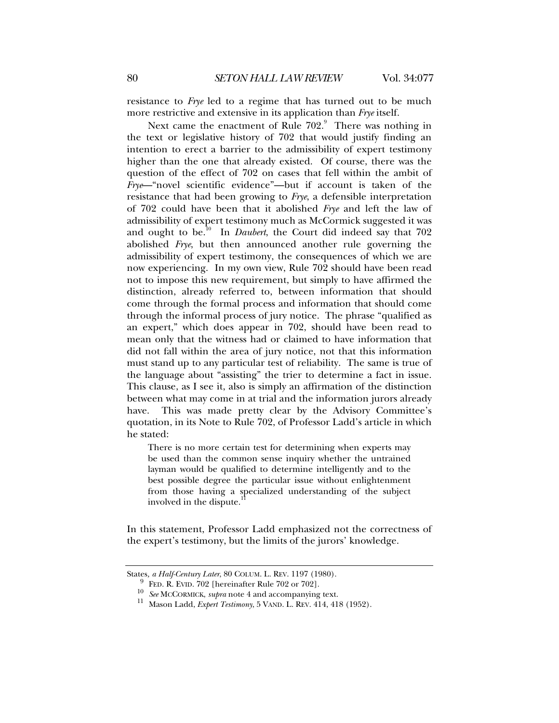resistance to *Frye* led to a regime that has turned out to be much more restrictive and extensive in its application than *Frye* itself.

Next came the enactment of Rule  $702.9$  There was nothing in the text or legislative history of 702 that would justify finding an intention to erect a barrier to the admissibility of expert testimony higher than the one that already existed. Of course, there was the question of the effect of 702 on cases that fell within the ambit of *Frye*—"novel scientific evidence"—but if account is taken of the resistance that had been growing to *Frye*, a defensible interpretation of 702 could have been that it abolished *Frye* and left the law of admissibility of expert testimony much as McCormick suggested it was and ought to be.<sup>10</sup> In *Daubert*, the Court did indeed say that 702 abolished *Frye*, but then announced another rule governing the admissibility of expert testimony, the consequences of which we are now experiencing. In my own view, Rule 702 should have been read not to impose this new requirement, but simply to have affirmed the distinction, already referred to, between information that should come through the formal process and information that should come through the informal process of jury notice. The phrase "qualified as an expert," which does appear in 702, should have been read to mean only that the witness had or claimed to have information that did not fall within the area of jury notice, not that this information must stand up to any particular test of reliability. The same is true of the language about "assisting" the trier to determine a fact in issue. This clause, as I see it, also is simply an affirmation of the distinction between what may come in at trial and the information jurors already have. This was made pretty clear by the Advisory Committee's quotation, in its Note to Rule 702, of Professor Ladd's article in which he stated:

There is no more certain test for determining when experts may be used than the common sense inquiry whether the untrained layman would be qualified to determine intelligently and to the best possible degree the particular issue without enlightenment from those having a specialized understanding of the subject involved in the dispute.

In this statement, Professor Ladd emphasized not the correctness of the expert's testimony, but the limits of the jurors' knowledge.

States*, a Half-Century Later*, 80 COLUM. L. REV. 1197 (1980).

<sup>9</sup>

<sup>&</sup>lt;sup>9</sup> FED. R. EVID. 702 [hereinafter Rule 702 or 702].<br><sup>10</sup> *See* MCCORMICK, *supra* note 4 and accompanying text.

<sup>&</sup>lt;sup>11</sup> Mason Ladd, *Expert Testimony*, 5 VAND. L. REV. 414, 418 (1952).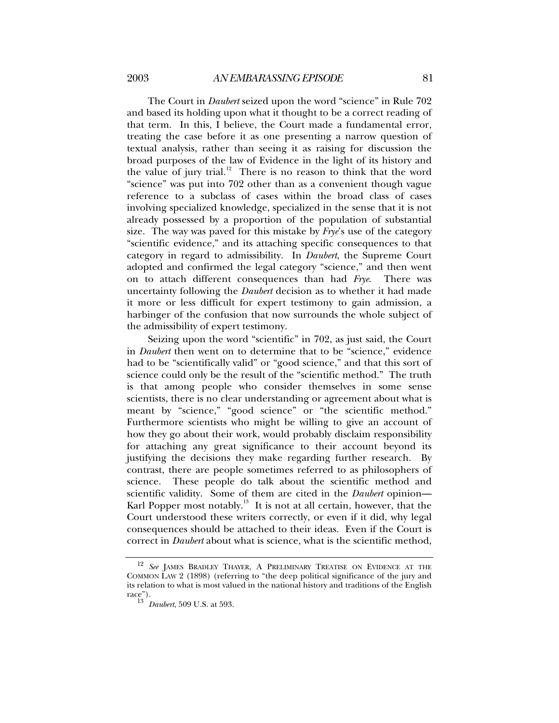The Court in *Daubert* seized upon the word "science" in Rule 702 and based its holding upon what it thought to be a correct reading of that term. In this, I believe, the Court made a fundamental error, treating the case before it as one presenting a narrow question of textual analysis, rather than seeing it as raising for discussion the broad purposes of the law of Evidence in the light of its history and the value of jury trial. $12$  There is no reason to think that the word "science" was put into 702 other than as a convenient though vague reference to a subclass of cases within the broad class of cases involving specialized knowledge, specialized in the sense that it is not already possessed by a proportion of the population of substantial size. The way was paved for this mistake by *Frye*'s use of the category "scientific evidence," and its attaching specific consequences to that category in regard to admissibility. In *Daubert*, the Supreme Court adopted and confirmed the legal category "science," and then went on to attach different consequences than had *Frye*. There was uncertainty following the *Daubert* decision as to whether it had made it more or less difficult for expert testimony to gain admission, a harbinger of the confusion that now surrounds the whole subject of the admissibility of expert testimony.

Seizing upon the word "scientific" in 702, as just said, the Court in *Daubert* then went on to determine that to be "science," evidence had to be "scientifically valid" or "good science," and that this sort of science could only be the result of the "scientific method." The truth is that among people who consider themselves in some sense scientists, there is no clear understanding or agreement about what is meant by "science," "good science" or "the scientific method." Furthermore scientists who might be willing to give an account of how they go about their work, would probably disclaim responsibility for attaching any great significance to their account beyond its justifying the decisions they make regarding further research. By contrast, there are people sometimes referred to as philosophers of science. These people do talk about the scientific method and scientific validity. Some of them are cited in the *Daubert* opinion— Karl Popper most notably.<sup>13</sup> It is not at all certain, however, that the Court understood these writers correctly, or even if it did, why legal consequences should be attached to their ideas. Even if the Court is correct in *Daubert* about what is science, what is the scientific method,

<sup>12</sup> *See* JAMES BRADLEY THAYER, A PRELIMINARY TREATISE ON EVIDENCE AT THE COMMON LAW 2 (1898) (referring to "the deep political significance of the jury and its relation to what is most valued in the national history and traditions of the English  $\text{race}$ ").

<sup>13</sup> *Daubert*, 509 U.S. at 593.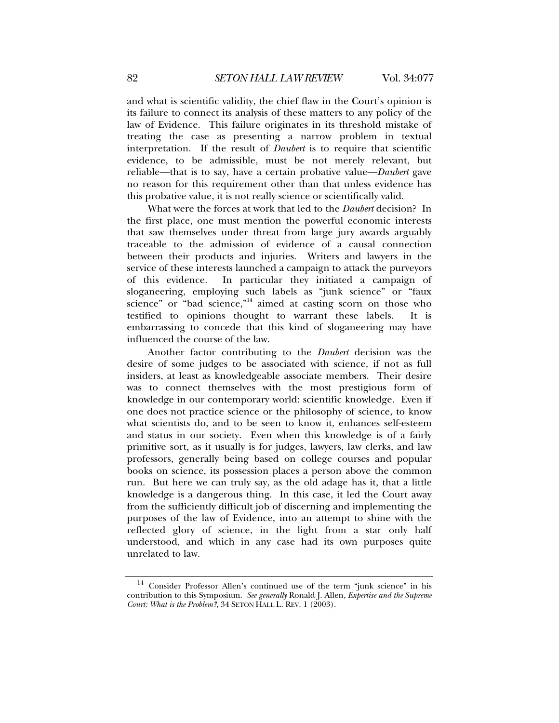and what is scientific validity, the chief flaw in the Court's opinion is its failure to connect its analysis of these matters to any policy of the law of Evidence. This failure originates in its threshold mistake of treating the case as presenting a narrow problem in textual interpretation. If the result of *Daubert* is to require that scientific evidence, to be admissible, must be not merely relevant, but reliable—that is to say, have a certain probative value—*Daubert* gave no reason for this requirement other than that unless evidence has this probative value, it is not really science or scientifically valid.

What were the forces at work that led to the *Daubert* decision? In the first place, one must mention the powerful economic interests that saw themselves under threat from large jury awards arguably traceable to the admission of evidence of a causal connection between their products and injuries. Writers and lawyers in the service of these interests launched a campaign to attack the purveyors of this evidence. In particular they initiated a campaign of sloganeering, employing such labels as "junk science" or "faux science" or "bad science,"<sup>14</sup> aimed at casting scorn on those who testified to opinions thought to warrant these labels. It is embarrassing to concede that this kind of sloganeering may have influenced the course of the law.

Another factor contributing to the *Daubert* decision was the desire of some judges to be associated with science, if not as full insiders, at least as knowledgeable associate members. Their desire was to connect themselves with the most prestigious form of knowledge in our contemporary world: scientific knowledge. Even if one does not practice science or the philosophy of science, to know what scientists do, and to be seen to know it, enhances self-esteem and status in our society. Even when this knowledge is of a fairly primitive sort, as it usually is for judges, lawyers, law clerks, and law professors, generally being based on college courses and popular books on science, its possession places a person above the common run. But here we can truly say, as the old adage has it, that a little knowledge is a dangerous thing. In this case, it led the Court away from the sufficiently difficult job of discerning and implementing the purposes of the law of Evidence, into an attempt to shine with the reflected glory of science, in the light from a star only half understood, and which in any case had its own purposes quite unrelated to law.

<sup>&</sup>lt;sup>14</sup> Consider Professor Allen's continued use of the term "junk science" in his contribution to this Symposium. *See generally* Ronald J. Allen, *Expertise and the Supreme Court: What is the Problem?*, 34 SETON HALL L. REV. 1 (2003).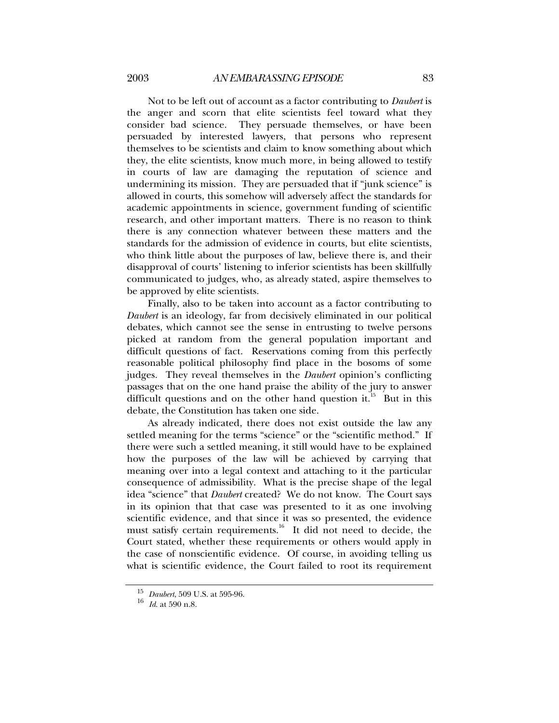Not to be left out of account as a factor contributing to *Daubert* is the anger and scorn that elite scientists feel toward what they consider bad science. They persuade themselves, or have been persuaded by interested lawyers, that persons who represent themselves to be scientists and claim to know something about which they, the elite scientists, know much more, in being allowed to testify in courts of law are damaging the reputation of science and undermining its mission. They are persuaded that if "junk science" is allowed in courts, this somehow will adversely affect the standards for academic appointments in science, government funding of scientific research, and other important matters. There is no reason to think there is any connection whatever between these matters and the standards for the admission of evidence in courts, but elite scientists, who think little about the purposes of law, believe there is, and their disapproval of courts' listening to inferior scientists has been skillfully communicated to judges, who, as already stated, aspire themselves to be approved by elite scientists.

Finally, also to be taken into account as a factor contributing to *Daubert* is an ideology, far from decisively eliminated in our political debates, which cannot see the sense in entrusting to twelve persons picked at random from the general population important and difficult questions of fact. Reservations coming from this perfectly reasonable political philosophy find place in the bosoms of some judges. They reveal themselves in the *Daubert* opinion's conflicting passages that on the one hand praise the ability of the jury to answer difficult questions and on the other hand question it.<sup>15</sup> But in this debate, the Constitution has taken one side.

As already indicated, there does not exist outside the law any settled meaning for the terms "science" or the "scientific method." If there were such a settled meaning, it still would have to be explained how the purposes of the law will be achieved by carrying that meaning over into a legal context and attaching to it the particular consequence of admissibility. What is the precise shape of the legal idea "science" that *Daubert* created? We do not know. The Court says in its opinion that that case was presented to it as one involving scientific evidence, and that since it was so presented, the evidence must satisfy certain requirements.<sup>16</sup> It did not need to decide, the Court stated, whether these requirements or others would apply in the case of nonscientific evidence. Of course, in avoiding telling us what is scientific evidence, the Court failed to root its requirement

<sup>15</sup> *Daubert*, 509 U.S. at 595-96.

<sup>16</sup> *Id*. at 590 n.8.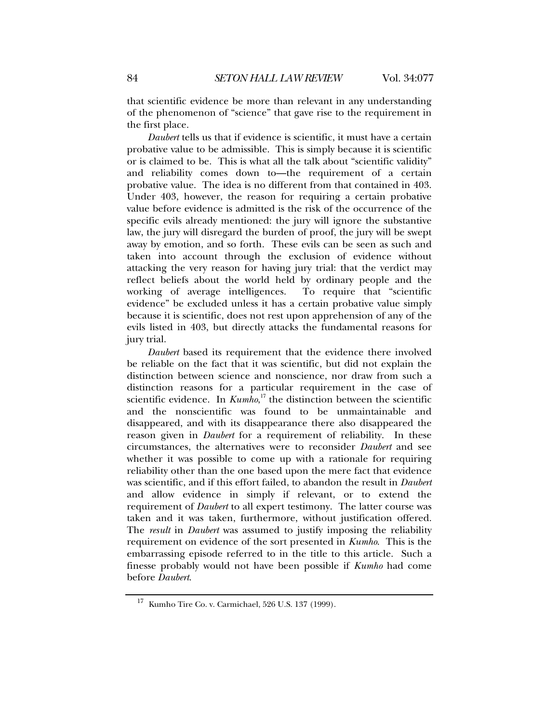that scientific evidence be more than relevant in any understanding of the phenomenon of "science" that gave rise to the requirement in the first place.

*Daubert* tells us that if evidence is scientific, it must have a certain probative value to be admissible. This is simply because it is scientific or is claimed to be. This is what all the talk about "scientific validity" and reliability comes down to—the requirement of a certain probative value. The idea is no different from that contained in 403. Under 403, however, the reason for requiring a certain probative value before evidence is admitted is the risk of the occurrence of the specific evils already mentioned: the jury will ignore the substantive law, the jury will disregard the burden of proof, the jury will be swept away by emotion, and so forth. These evils can be seen as such and taken into account through the exclusion of evidence without attacking the very reason for having jury trial: that the verdict may reflect beliefs about the world held by ordinary people and the working of average intelligences. To require that "scientific evidence" be excluded unless it has a certain probative value simply because it is scientific, does not rest upon apprehension of any of the evils listed in 403, but directly attacks the fundamental reasons for jury trial.

*Daubert* based its requirement that the evidence there involved be reliable on the fact that it was scientific, but did not explain the distinction between science and nonscience, nor draw from such a distinction reasons for a particular requirement in the case of scientific evidence. In  $Kumbo$ ,<sup>17</sup> the distinction between the scientific and the nonscientific was found to be unmaintainable and disappeared, and with its disappearance there also disappeared the reason given in *Daubert* for a requirement of reliability. In these circumstances, the alternatives were to reconsider *Daubert* and see whether it was possible to come up with a rationale for requiring reliability other than the one based upon the mere fact that evidence was scientific, and if this effort failed, to abandon the result in *Daubert* and allow evidence in simply if relevant, or to extend the requirement of *Daubert* to all expert testimony. The latter course was taken and it was taken, furthermore, without justification offered. The *result* in *Daubert* was assumed to justify imposing the reliability requirement on evidence of the sort presented in *Kumho*. This is the embarrassing episode referred to in the title to this article. Such a finesse probably would not have been possible if *Kumho* had come before *Daubert*.

 $^{17}\,$  Kumho Tire Co. v. Carmichael, 526 U.S. 137 (1999).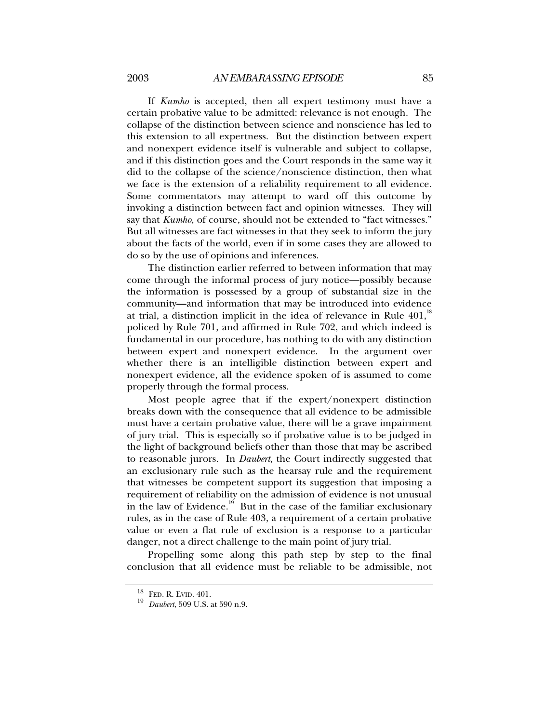If *Kumho* is accepted, then all expert testimony must have a certain probative value to be admitted: relevance is not enough. The collapse of the distinction between science and nonscience has led to this extension to all expertness. But the distinction between expert and nonexpert evidence itself is vulnerable and subject to collapse, and if this distinction goes and the Court responds in the same way it did to the collapse of the science/nonscience distinction, then what we face is the extension of a reliability requirement to all evidence. Some commentators may attempt to ward off this outcome by invoking a distinction between fact and opinion witnesses. They will say that *Kumho*, of course, should not be extended to "fact witnesses." But all witnesses are fact witnesses in that they seek to inform the jury about the facts of the world, even if in some cases they are allowed to do so by the use of opinions and inferences.

The distinction earlier referred to between information that may come through the informal process of jury notice—possibly because the information is possessed by a group of substantial size in the community—and information that may be introduced into evidence at trial, a distinction implicit in the idea of relevance in Rule  $401$ ,<sup>18</sup> policed by Rule 701, and affirmed in Rule 702, and which indeed is fundamental in our procedure, has nothing to do with any distinction between expert and nonexpert evidence. In the argument over whether there is an intelligible distinction between expert and nonexpert evidence, all the evidence spoken of is assumed to come properly through the formal process.

Most people agree that if the expert/nonexpert distinction breaks down with the consequence that all evidence to be admissible must have a certain probative value, there will be a grave impairment of jury trial. This is especially so if probative value is to be judged in the light of background beliefs other than those that may be ascribed to reasonable jurors. In *Daubert*, the Court indirectly suggested that an exclusionary rule such as the hearsay rule and the requirement that witnesses be competent support its suggestion that imposing a requirement of reliability on the admission of evidence is not unusual in the law of Evidence.<sup>19</sup> But in the case of the familiar exclusionary rules, as in the case of Rule 403, a requirement of a certain probative value or even a flat rule of exclusion is a response to a particular danger, not a direct challenge to the main point of jury trial.

Propelling some along this path step by step to the final conclusion that all evidence must be reliable to be admissible, not

<sup>18</sup> FED. R. EVID. 401.

<sup>19</sup> *Daubert*, 509 U.S. at 590 n.9.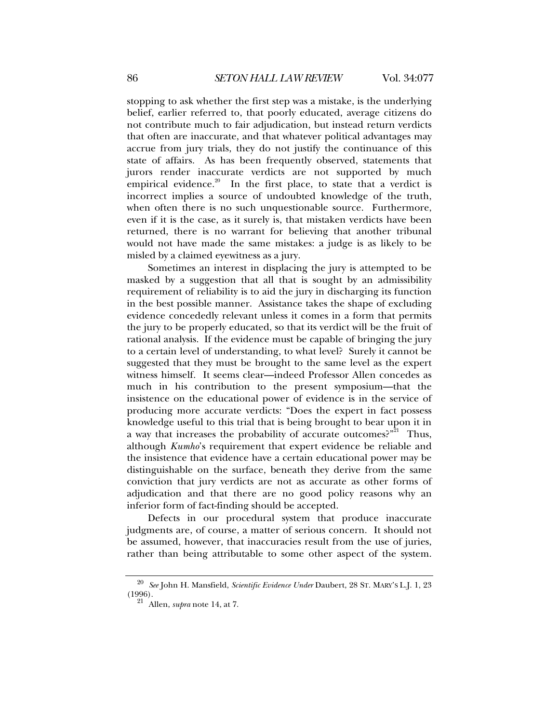stopping to ask whether the first step was a mistake, is the underlying belief, earlier referred to, that poorly educated, average citizens do not contribute much to fair adjudication, but instead return verdicts that often are inaccurate, and that whatever political advantages may accrue from jury trials, they do not justify the continuance of this state of affairs. As has been frequently observed, statements that jurors render inaccurate verdicts are not supported by much empirical evidence.<sup>20</sup> In the first place, to state that a verdict is incorrect implies a source of undoubted knowledge of the truth, when often there is no such unquestionable source. Furthermore, even if it is the case, as it surely is, that mistaken verdicts have been returned, there is no warrant for believing that another tribunal would not have made the same mistakes: a judge is as likely to be misled by a claimed eyewitness as a jury.

Sometimes an interest in displacing the jury is attempted to be masked by a suggestion that all that is sought by an admissibility requirement of reliability is to aid the jury in discharging its function in the best possible manner. Assistance takes the shape of excluding evidence concededly relevant unless it comes in a form that permits the jury to be properly educated, so that its verdict will be the fruit of rational analysis. If the evidence must be capable of bringing the jury to a certain level of understanding, to what level? Surely it cannot be suggested that they must be brought to the same level as the expert witness himself. It seems clear—indeed Professor Allen concedes as much in his contribution to the present symposium—that the insistence on the educational power of evidence is in the service of producing more accurate verdicts: "Does the expert in fact possess knowledge useful to this trial that is being brought to bear upon it in a way that increases the probability of accurate outcomes?"<sup>21</sup> Thus, although *Kumho*'s requirement that expert evidence be reliable and the insistence that evidence have a certain educational power may be distinguishable on the surface, beneath they derive from the same conviction that jury verdicts are not as accurate as other forms of adjudication and that there are no good policy reasons why an inferior form of fact-finding should be accepted.

Defects in our procedural system that produce inaccurate judgments are, of course, a matter of serious concern. It should not be assumed, however, that inaccuracies result from the use of juries, rather than being attributable to some other aspect of the system.

<sup>20</sup> *See* John H. Mansfield, *Scientific Evidence Under* Daubert, 28 ST. MARY'S L.J. 1, 23 (1996).

<sup>21</sup> Allen, *supra* note 14, at 7.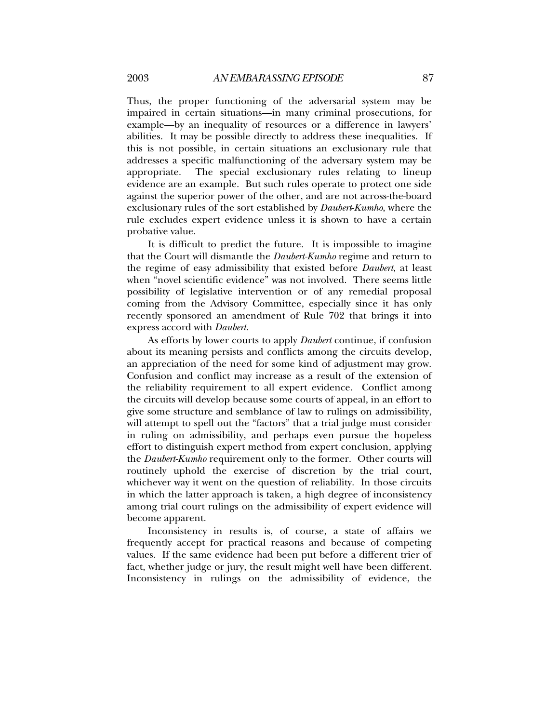Thus, the proper functioning of the adversarial system may be impaired in certain situations—in many criminal prosecutions, for example—by an inequality of resources or a difference in lawyers' abilities. It may be possible directly to address these inequalities. If this is not possible, in certain situations an exclusionary rule that addresses a specific malfunctioning of the adversary system may be appropriate. The special exclusionary rules relating to lineup evidence are an example. But such rules operate to protect one side against the superior power of the other, and are not across-the-board exclusionary rules of the sort established by *Daubert*-*Kumho*, where the rule excludes expert evidence unless it is shown to have a certain probative value.

It is difficult to predict the future. It is impossible to imagine that the Court will dismantle the *Daubert-Kumho* regime and return to the regime of easy admissibility that existed before *Daubert*, at least when "novel scientific evidence" was not involved. There seems little possibility of legislative intervention or of any remedial proposal coming from the Advisory Committee, especially since it has only recently sponsored an amendment of Rule 702 that brings it into express accord with *Daubert*.

As efforts by lower courts to apply *Daubert* continue, if confusion about its meaning persists and conflicts among the circuits develop, an appreciation of the need for some kind of adjustment may grow. Confusion and conflict may increase as a result of the extension of the reliability requirement to all expert evidence. Conflict among the circuits will develop because some courts of appeal, in an effort to give some structure and semblance of law to rulings on admissibility, will attempt to spell out the "factors" that a trial judge must consider in ruling on admissibility, and perhaps even pursue the hopeless effort to distinguish expert method from expert conclusion, applying the *Daubert-Kumho* requirement only to the former. Other courts will routinely uphold the exercise of discretion by the trial court, whichever way it went on the question of reliability. In those circuits in which the latter approach is taken, a high degree of inconsistency among trial court rulings on the admissibility of expert evidence will become apparent.

Inconsistency in results is, of course, a state of affairs we frequently accept for practical reasons and because of competing values. If the same evidence had been put before a different trier of fact, whether judge or jury, the result might well have been different. Inconsistency in rulings on the admissibility of evidence, the